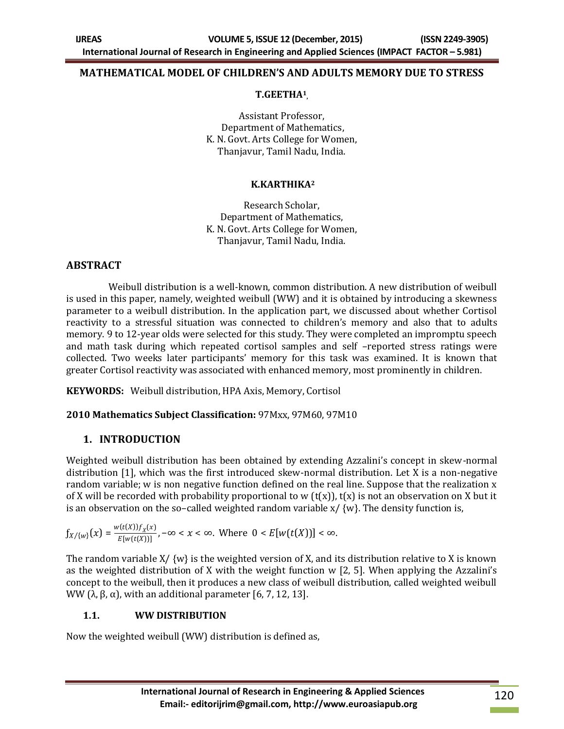### **MATHEMATICAL MODEL OF CHILDREN'S AND ADULTS MEMORY DUE TO STRESS**

#### **T.GEETHA<sup>1</sup> ,**

Assistant Professor, Department of Mathematics, K. N. Govt. Arts College for Women, Thanjavur, Tamil Nadu, India.

### **K.KARTHIKA<sup>2</sup>**

Research Scholar, Department of Mathematics, K. N. Govt. Arts College for Women, Thanjavur, Tamil Nadu, India.

### **ABSTRACT**

 Weibull distribution is a well-known, common distribution. A new distribution of weibull is used in this paper, namely, weighted weibull (WW) and it is obtained by introducing a skewness parameter to a weibull distribution. In the application part, we discussed about whether Cortisol reactivity to a stressful situation was connected to children's memory and also that to adults memory. 9 to 12-year olds were selected for this study. They were completed an impromptu speech and math task during which repeated cortisol samples and self –reported stress ratings were collected. Two weeks later participants' memory for this task was examined. It is known that greater Cortisol reactivity was associated with enhanced memory, most prominently in children.

**KEYWORDS:** Weibull distribution, HPA Axis, Memory, Cortisol

### **2010 Mathematics Subject Classification:** 97Mxx, 97M60, 97M10

### **1. INTRODUCTION**

Weighted weibull distribution has been obtained by extending Azzalini's concept in skew-normal distribution [1], which was the first introduced skew-normal distribution. Let X is a non-negative random variable; w is non negative function defined on the real line. Suppose that the realization x of X will be recorded with probability proportional to w ( $t(x)$ ),  $t(x)$  is not an observation on X but it is an observation on the so-called weighted random variable  $x/$  {w}. The density function is,

$$
f_{X/\{w\}}(x)=\frac{w(t(X))f_X(x)}{E[w(t(X))]}
$$
,  $-\infty < x < \infty$ . Where  $0 < E[w(t(X))]< \infty$ .

The random variable  $X/\{w\}$  is the weighted version of X, and its distribution relative to X is known as the weighted distribution of X with the weight function w [2, 5]. When applying the Azzalini's concept to the weibull, then it produces a new class of weibull distribution, called weighted weibull WW (λ, β, α), with an additional parameter [6, 7, 12, 13].

### **1.1. WW DISTRIBUTION**

Now the weighted weibull (WW) distribution is defined as,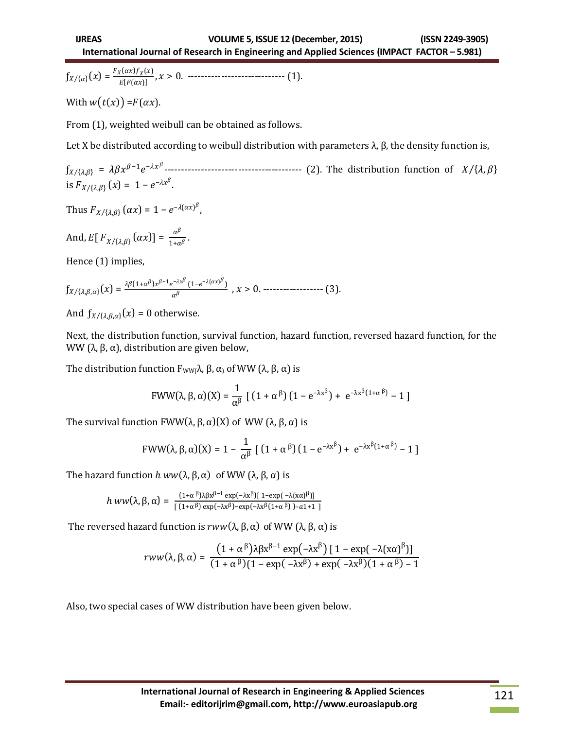$f_{X/\{\alpha\}}(x) = \frac{F_X(\alpha x) f_X(x)}{F[F(\alpha x)]}$ () , > 0. ----------------------------- (1).

With  $w(t(x)) = F(\alpha x)$ .

From (1), weighted weibull can be obtained as follows.

Let X be distributed according to weibull distribution with parameters  $λ$ ,  $β$ , the density function is,

ƒ , = <sup>−</sup>1 − ----------------------------------------- (2). The distribution function of , is  $F_{X/\{\lambda,\beta\}}(x) = 1 - e^{-\lambda x^{\beta}}$ .

Thus  $F_{X/\{\lambda,\beta\}}(\alpha x) = 1 - e^{-\lambda(\alpha x)^\beta},$ 

And, 
$$
E[F_{X/\{\lambda,\beta\}}(\alpha x)] = \frac{\alpha^{\beta}}{1+\alpha^{\beta}}
$$
.

Hence (1) implies,

$$
f_{X/\{\lambda,\beta,\alpha\}}(x)=\frac{\lambda\beta(1+\alpha^{\beta})x^{\beta-1}e^{-\lambda x^{\beta}}(1-e^{-\lambda(\alpha x)^{\beta}})}{\alpha^{\beta}}\ , x>0.\dots\dots\dots\dots\dots\dots\dots\dots \tag{3}.
$$

And  $\int_{X/\{\lambda,\beta,\alpha\}} (x) = 0$  otherwise.

Next, the distribution function, survival function, hazard function, reversed hazard function, for the WW (λ, β, α), distribution are given below,

The distribution function  $F_{WW}$  $λ$ ,  $β$ ,  $α$ <sub>)</sub> of WW ( $λ$ ,  $β$ ,  $α$ ) is

$$
FWW(\lambda, \beta, \alpha)(X) = \frac{1}{\alpha^{\beta}} \left[ \left( 1 + \alpha^{\beta} \right) \left( 1 - e^{-\lambda x^{\beta}} \right) + e^{-\lambda x^{\beta} (1 + \alpha^{\beta})} - 1 \right]
$$

The survival function  $FWW(\lambda, \beta, \alpha)(X)$  of WW (λ, β, α) is

$$
FWW(\lambda, \beta, \alpha)(X) = 1 - \frac{1}{\alpha^{\beta}} \left[ \left( 1 + \alpha^{\beta} \right) \left( 1 - e^{-\lambda x^{\beta}} \right) + e^{-\lambda x^{\beta} (1 + \alpha^{\beta})} - 1 \right]
$$

The hazard function  $h w w(\lambda, \beta, \alpha)$  of WW  $(\lambda, \beta, \alpha)$  is

$$
h\ ww(\lambda,\beta,\alpha)=\frac{(1+\alpha^{\beta})\lambda\beta x^{\beta-1}\exp(-\lambda x^{\beta})[\ 1-\exp(-\lambda(x\alpha)^{\beta})]}{[\ (1+\alpha^{\beta})\exp(-\lambda x^{\beta})-\exp(-\lambda x^{\beta}(1+\alpha^{\beta})\ )-a1+1\ ]}
$$

The reversed hazard function is  $rww(\lambda, \beta, \alpha)$  of WW (λ, β, α) is

$$
rww(\lambda, \beta, \alpha) = \frac{\left(1+\alpha^\beta\right)\lambda\beta x^{\beta-1} \exp\left(-\lambda x^\beta\right) \left[1-\exp\left(-\lambda (x\alpha)^\beta\right)\right]}{(1+\alpha^\beta)(1-\exp\left(-\lambda x^\beta\right)+\exp\left(-\lambda x^\beta\right)(1+\alpha^\beta)-1}
$$

Also, two special cases of WW distribution have been given below.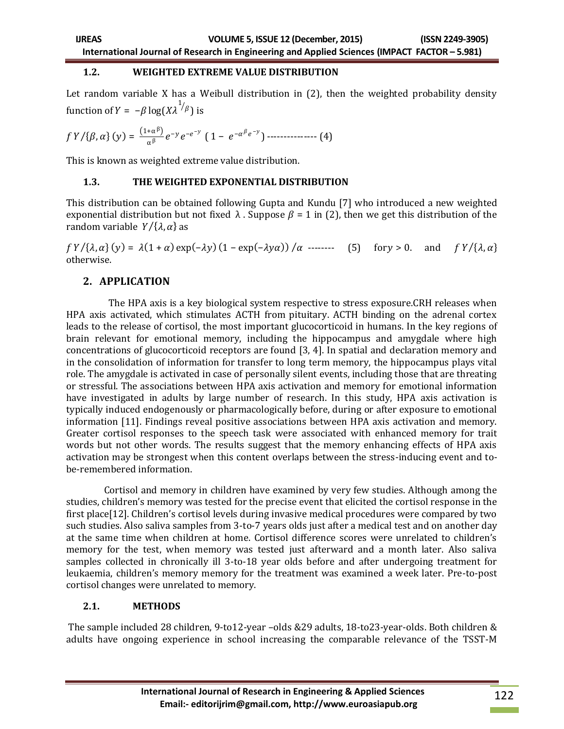#### **1.2. WEIGHTED EXTREME VALUE DISTRIBUTION**

Let random variable X has a Weibull distribution in (2), then the weighted probability density function of  $Y = -\beta \log(X \lambda^{1/\beta})$  is

$$
f Y/\{\beta, \alpha\}(y) = \frac{(1+\alpha^{\beta})}{\alpha^{\beta}} e^{-y} e^{-e^{-y}} (1 - e^{-\alpha^{\beta} e^{-y}})
$$
........(4)

This is known as weighted extreme value distribution.

### **1.3. THE WEIGHTED EXPONENTIAL DISTRIBUTION**

This distribution can be obtained following Gupta and Kundu [7] who introduced a new weighted exponential distribution but not fixed  $\lambda$ . Suppose  $\beta = 1$  in (2), then we get this distribution of the random variable  $Y/\{\lambda, \alpha\}$  as

 $f Y/\{\lambda, \alpha\}(y) = \lambda(1+\alpha) \exp(-\lambda y) (1 - \exp(-\lambda y \alpha)) / \alpha$  -------- (5) for y > 0. and  $f Y/\{\lambda, \alpha\}$ otherwise.

## **2. APPLICATION**

 The HPA axis is a key biological system respective to stress exposure.CRH releases when HPA axis activated, which stimulates ACTH from pituitary. ACTH binding on the adrenal cortex leads to the release of cortisol, the most important glucocorticoid in humans. In the key regions of brain relevant for emotional memory, including the hippocampus and amygdale where high concentrations of glucocorticoid receptors are found [3, 4]. In spatial and declaration memory and in the consolidation of information for transfer to long term memory, the hippocampus plays vital role. The amygdale is activated in case of personally silent events, including those that are threating or stressful. The associations between HPA axis activation and memory for emotional information have investigated in adults by large number of research. In this study, HPA axis activation is typically induced endogenously or pharmacologically before, during or after exposure to emotional information [11]. Findings reveal positive associations between HPA axis activation and memory. Greater cortisol responses to the speech task were associated with enhanced memory for trait words but not other words. The results suggest that the memory enhancing effects of HPA axis activation may be strongest when this content overlaps between the stress-inducing event and tobe-remembered information.

 Cortisol and memory in children have examined by very few studies. Although among the studies, children's memory was tested for the precise event that elicited the cortisol response in the first place [12]. Children's cortisol levels during invasive medical procedures were compared by two such studies. Also saliva samples from 3-to-7 years olds just after a medical test and on another day at the same time when children at home. Cortisol difference scores were unrelated to children's memory for the test, when memory was tested just afterward and a month later. Also saliva samples collected in chronically ill 3-to-18 year olds before and after undergoing treatment for leukaemia, children's memory memory for the treatment was examined a week later. Pre-to-post cortisol changes were unrelated to memory.

### **2.1. METHODS**

The sample included 28 children, 9-to12-year –olds &29 adults, 18-to23-year-olds. Both children & adults have ongoing experience in school increasing the comparable relevance of the TSST-M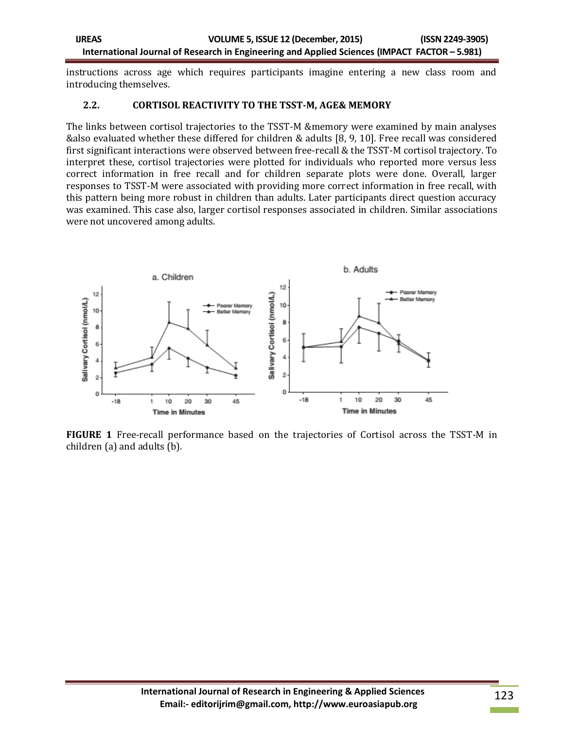instructions across age which requires participants imagine entering a new class room and introducing themselves.

#### **2.2. CORTISOL REACTIVITY TO THE TSST-M, AGE& MEMORY**

The links between cortisol trajectories to the TSST-M &memory were examined by main analyses &also evaluated whether these differed for children & adults [8, 9, 10]. Free recall was considered first significant interactions were observed between free-recall & the TSST-M cortisol trajectory. To interpret these, cortisol trajectories were plotted for individuals who reported more versus less correct information in free recall and for children separate plots were done. Overall, larger responses to TSST-M were associated with providing more correct information in free recall, with this pattern being more robust in children than adults. Later participants direct question accuracy was examined. This case also, larger cortisol responses associated in children. Similar associations were not uncovered among adults.



**FIGURE 1** Free-recall performance based on the trajectories of Cortisol across the TSST-M in children (a) and adults (b).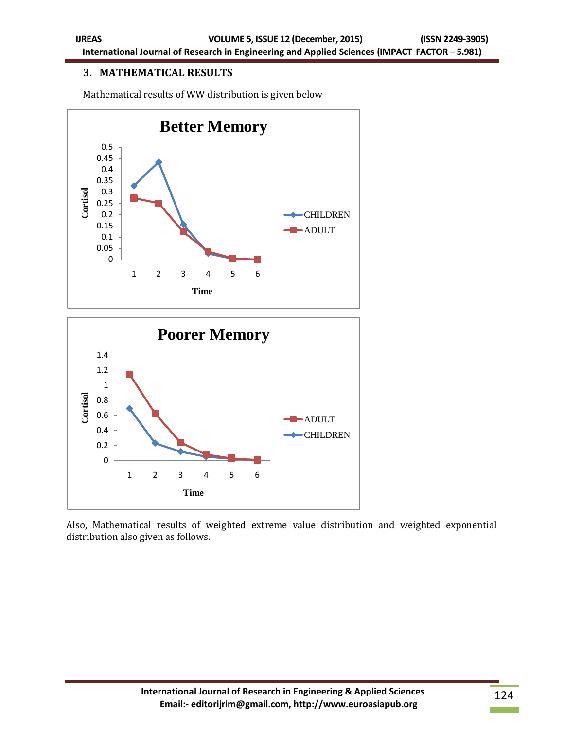# **3. MATHEMATICAL RESULTS**

Mathematical results of WW distribution is given below



Also, Mathematical results of weighted extreme value distribution and weighted exponential distribution also given as follows.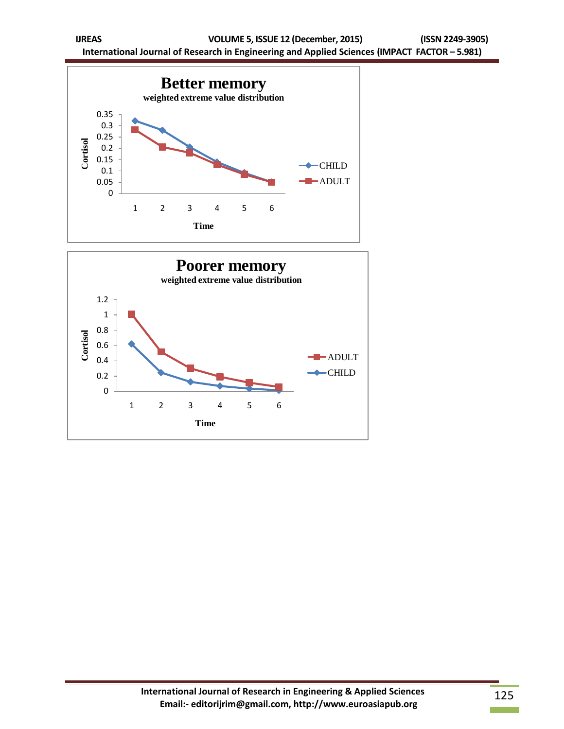

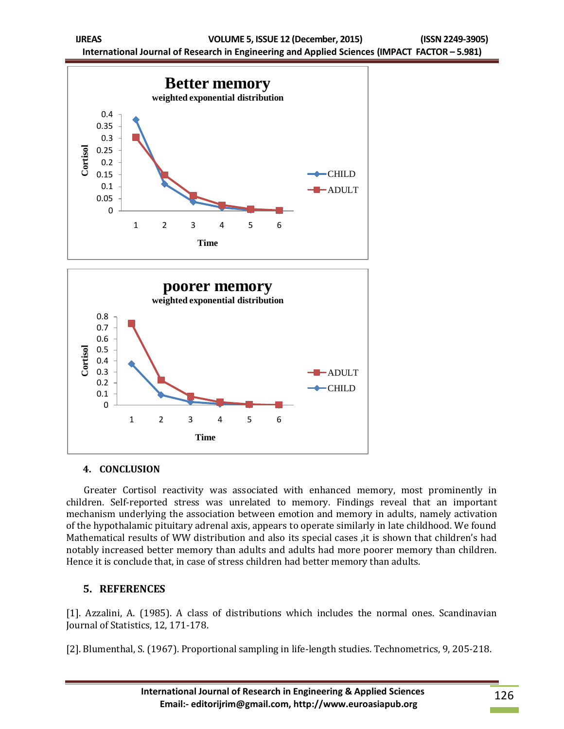



### **4. CONCLUSION**

 Greater Cortisol reactivity was associated with enhanced memory, most prominently in children. Self-reported stress was unrelated to memory. Findings reveal that an important mechanism underlying the association between emotion and memory in adults, namely activation of the hypothalamic pituitary adrenal axis, appears to operate similarly in late childhood. We found Mathematical results of WW distribution and also its special cases ,it is shown that children's had notably increased better memory than adults and adults had more poorer memory than children. Hence it is conclude that, in case of stress children had better memory than adults.

# **5. REFERENCES**

[1]. Azzalini, A. (1985). A class of distributions which includes the normal ones. Scandinavian Journal of Statistics, 12, 171-178.

[2]. Blumenthal, S. (1967). Proportional sampling in life-length studies. Technometrics, 9, 205-218.